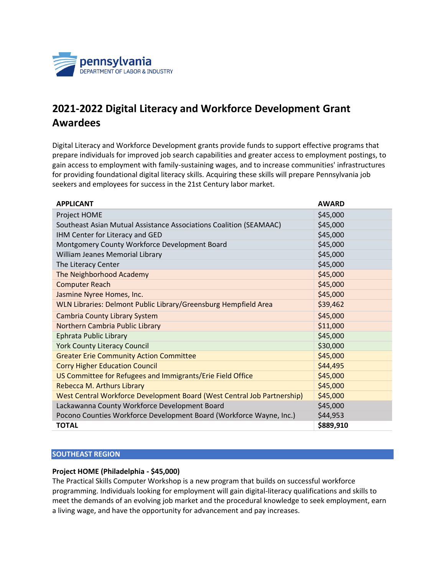

# **2021-2022 Digital Literacy and Workforce Development Grant Awardees**

Digital Literacy and Workforce Development grants provide funds to support effective programs that prepare individuals for improved job search capabilities and greater access to employment postings, to gain access to employment with family-sustaining wages, and to increase communities' infrastructures for providing foundational digital literacy skills. Acquiring these skills will prepare Pennsylvania job seekers and employees for success in the 21st Century labor market.

| <b>APPLICANT</b>                                                        | <b>AWARD</b> |
|-------------------------------------------------------------------------|--------------|
| Project HOME                                                            | \$45,000     |
| Southeast Asian Mutual Assistance Associations Coalition (SEAMAAC)      | \$45,000     |
| IHM Center for Literacy and GED                                         | \$45,000     |
| Montgomery County Workforce Development Board                           | \$45,000     |
| William Jeanes Memorial Library                                         | \$45,000     |
| The Literacy Center                                                     | \$45,000     |
| The Neighborhood Academy                                                | \$45,000     |
| <b>Computer Reach</b>                                                   | \$45,000     |
| Jasmine Nyree Homes, Inc.                                               | \$45,000     |
| WLN Libraries: Delmont Public Library/Greensburg Hempfield Area         | \$39,462     |
| <b>Cambria County Library System</b>                                    | \$45,000     |
| Northern Cambria Public Library                                         | \$11,000     |
| Ephrata Public Library                                                  | \$45,000     |
| <b>York County Literacy Council</b>                                     | \$30,000     |
| <b>Greater Erie Community Action Committee</b>                          | \$45,000     |
| <b>Corry Higher Education Council</b>                                   | \$44,495     |
| US Committee for Refugees and Immigrants/Erie Field Office              | \$45,000     |
| Rebecca M. Arthurs Library                                              | \$45,000     |
| West Central Workforce Development Board (West Central Job Partnership) | \$45,000     |
| Lackawanna County Workforce Development Board                           | \$45,000     |
| Pocono Counties Workforce Development Board (Workforce Wayne, Inc.)     | \$44,953     |
| <b>TOTAL</b>                                                            | \$889,910    |

## **SOUTHEAST REGION**

## **Project HOME (Philadelphia - \$45,000)**

The Practical Skills Computer Workshop is a new program that builds on successful workforce programming. Individuals looking for employment will gain digital-literacy qualifications and skills to meet the demands of an evolving job market and the procedural knowledge to seek employment, earn a living wage, and have the opportunity for advancement and pay increases.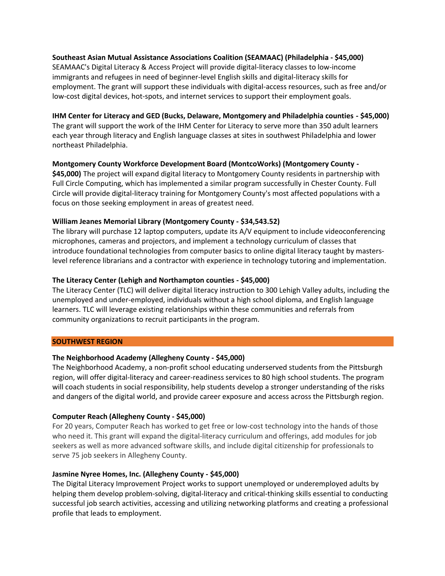## **Southeast Asian Mutual Assistance Associations Coalition (SEAMAAC) (Philadelphia - \$45,000)**

SEAMAAC's Digital Literacy & Access Project will provide digital-literacy classes to low-income immigrants and refugees in need of beginner-level English skills and digital-literacy skills for employment. The grant will support these individuals with digital-access resources, such as free and/or low-cost digital devices, hot-spots, and internet services to support their employment goals.

#### **IHM Center for Literacy and GED (Bucks, Delaware, Montgomery and Philadelphia counties - \$45,000)**

The grant will support the work of the IHM Center for Literacy to serve more than 350 adult learners each year through literacy and English language classes at sites in southwest Philadelphia and lower northeast Philadelphia.

## **Montgomery County Workforce Development Board (MontcoWorks) (Montgomery County -**

**\$45,000)** The project will expand digital literacy to Montgomery County residents in partnership with Full Circle Computing, which has implemented a similar program successfully in Chester County. Full Circle will provide digital-literacy training for Montgomery County's most affected populations with a focus on those seeking employment in areas of greatest need.

## **William Jeanes Memorial Library (Montgomery County - \$34,543.52)**

The library will purchase 12 laptop computers, update its A/V equipment to include videoconferencing microphones, cameras and projectors, and implement a technology curriculum of classes that introduce foundational technologies from computer basics to online digital literacy taught by masterslevel reference librarians and a contractor with experience in technology tutoring and implementation.

#### **The Literacy Center (Lehigh and Northampton counties - \$45,000)**

The Literacy Center (TLC) will deliver digital literacy instruction to 300 Lehigh Valley adults, including the unemployed and under-employed, individuals without a high school diploma, and English language learners. TLC will leverage existing relationships within these communities and referrals from community organizations to recruit participants in the program.

#### **SOUTHWEST REGION**

## **The Neighborhood Academy (Allegheny County - \$45,000)**

The Neighborhood Academy, a non-profit school educating underserved students from the Pittsburgh region, will offer digital-literacy and career-readiness services to 80 high school students. The program will coach students in social responsibility, help students develop a stronger understanding of the risks and dangers of the digital world, and provide career exposure and access across the Pittsburgh region.

#### **Computer Reach (Allegheny County - \$45,000)**

For 20 years, Computer Reach has worked to get free or low-cost technology into the hands of those who need it. This grant will expand the digital-literacy curriculum and offerings, add modules for job seekers as well as more advanced software skills, and include digital citizenship for professionals to serve 75 job seekers in Allegheny County.

#### **Jasmine Nyree Homes, Inc. (Allegheny County - \$45,000)**

The Digital Literacy Improvement Project works to support unemployed or underemployed adults by helping them develop problem-solving, digital-literacy and critical-thinking skills essential to conducting successful job search activities, accessing and utilizing networking platforms and creating a professional profile that leads to employment.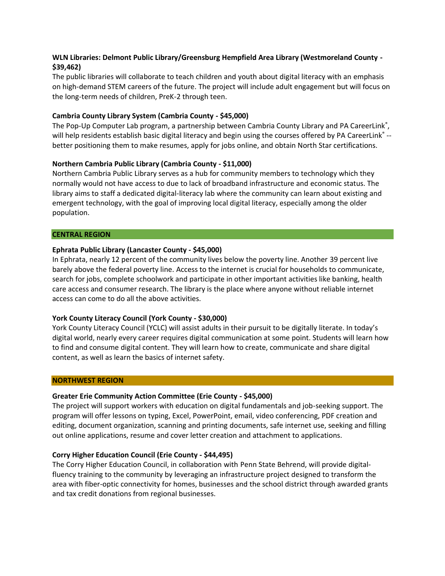# **WLN Libraries: Delmont Public Library/Greensburg Hempfield Area Library (Westmoreland County - \$39,462)**

The public libraries will collaborate to teach children and youth about digital literacy with an emphasis on high-demand STEM careers of the future. The project will include adult engagement but will focus on the long-term needs of children, PreK-2 through teen.

## **Cambria County Library System (Cambria County - \$45,000)**

The Pop-Up Computer Lab program, a partnership between Cambria County Library and PA CareerLink<sup>®</sup>, will help residents establish basic digital literacy and begin using the courses offered by PA CareerLink® -better positioning them to make resumes, apply for jobs online, and obtain North Star certifications.

#### **Northern Cambria Public Library (Cambria County - \$11,000)**

Northern Cambria Public Library serves as a hub for community members to technology which they normally would not have access to due to lack of broadband infrastructure and economic status. The library aims to staff a dedicated digital-literacy lab where the community can learn about existing and emergent technology, with the goal of improving local digital literacy, especially among the older population.

#### **CENTRAL REGION**

## **Ephrata Public Library (Lancaster County - \$45,000)**

In Ephrata, nearly 12 percent of the community lives below the poverty line. Another 39 percent live barely above the federal poverty line. Access to the internet is crucial for households to communicate, search for jobs, complete schoolwork and participate in other important activities like banking, health care access and consumer research. The library is the place where anyone without reliable internet access can come to do all the above activities.

## **York County Literacy Council (York County - \$30,000)**

York County Literacy Council (YCLC) will assist adults in their pursuit to be digitally literate. In today's digital world, nearly every career requires digital communication at some point. Students will learn how to find and consume digital content. They will learn how to create, communicate and share digital content, as well as learn the basics of internet safety.

#### **NORTHWEST REGION**

#### **Greater Erie Community Action Committee (Erie County - \$45,000)**

The project will support workers with education on digital fundamentals and job-seeking support. The program will offer lessons on typing, Excel, PowerPoint, email, video conferencing, PDF creation and editing, document organization, scanning and printing documents, safe internet use, seeking and filling out online applications, resume and cover letter creation and attachment to applications.

#### **Corry Higher Education Council (Erie County - \$44,495)**

The Corry Higher Education Council, in collaboration with Penn State Behrend, will provide digitalfluency training to the community by leveraging an infrastructure project designed to transform the area with fiber-optic connectivity for homes, businesses and the school district through awarded grants and tax credit donations from regional businesses.